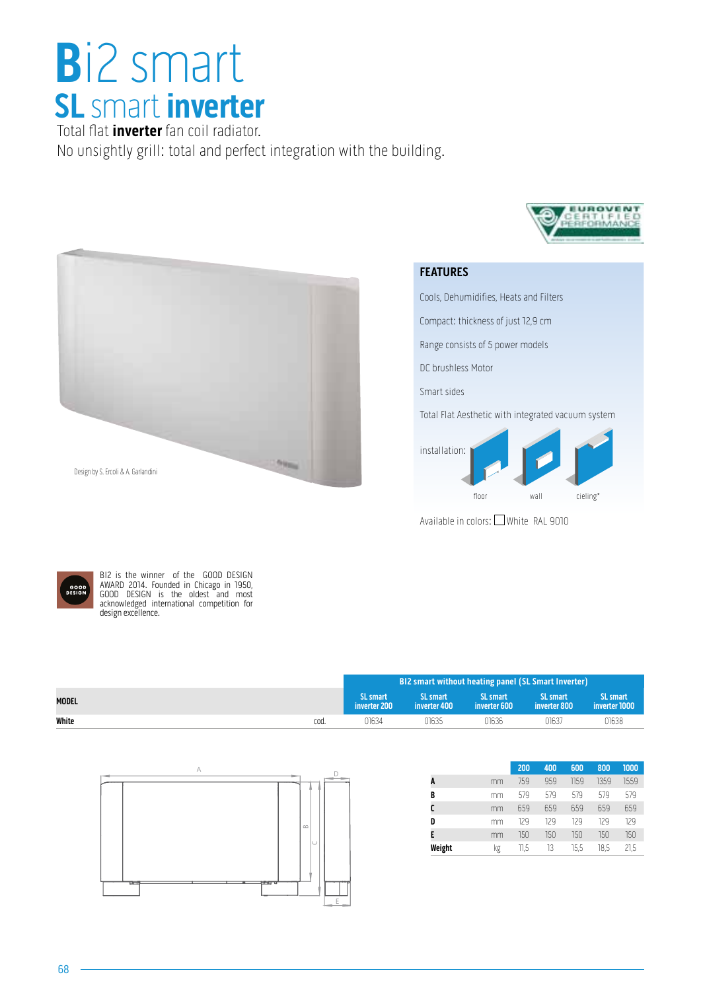## **B**i2 smart **SL** smart **inverter**

Total flat **inverter** fan coil radiator. No unsightly grill: total and perfect integration with the building.



## **FEATURES**

Cools, Dehumidifies, Heats and Filters

Compact: thickness of just 12,9 cm

Range consists of 5 power models

DC brushless Motor

Smart sides

Total Flat Aesthetic with integrated vacuum system

EUROVE



Available in colors: White RAL 9010



BI2 is the winner of the GOOD DESIGN AWARD 2014. Founded in Chicago in 1950, GOOD DESIGN is the oldest and most acknowledged international competition for design excellence.

|              |      | BI2 smart without heating panel (SL Smart Inverter) |                          |                          |                                 |                                             |
|--------------|------|-----------------------------------------------------|--------------------------|--------------------------|---------------------------------|---------------------------------------------|
| <b>MODEL</b> |      | <b>SL</b> smart<br>inverter 200                     | SL smart<br>inverter 400 | SL smart<br>inverter 600 | <b>SL smart</b><br>inverter 800 | SL smart<br>$\,$ i inverter 1000 $^{\circ}$ |
| White        | cod. | 01634                                               | 01635                    | 01636                    | 01637                           | 01638                                       |



|    | 200  | 400 | 600  | 800  | 1000 |  |
|----|------|-----|------|------|------|--|
| mm | 759  | 959 | 1159 | 1359 | 1559 |  |
| mm | 579  | 579 | 579  | 579  | 579  |  |
| mm | 659  | 659 | 659  | 659  | 659  |  |
| mm | 129  | 129 | 129  | 129  | 129  |  |
| mm | 150  | 150 | 150  | 150  | 150  |  |
| kg | 11,5 | 13  | 15,5 | 18,5 | 21,5 |  |
|    |      |     |      |      |      |  |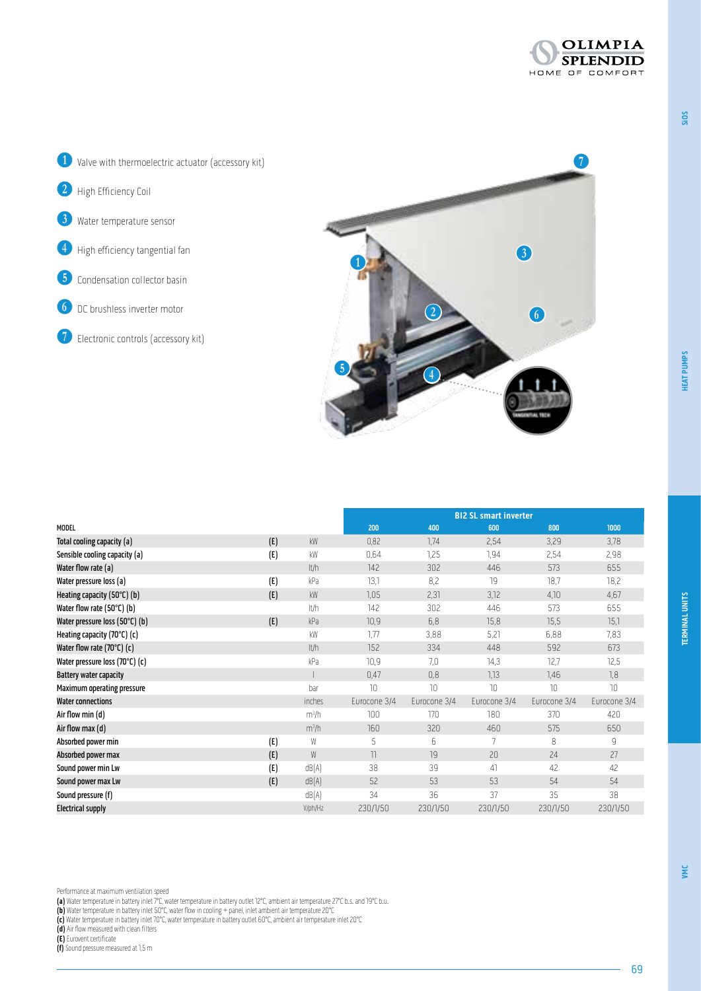**SiOS**

**VMC**





|                                |     |           | <b>BI2 SL smart inverter</b> |              |              |              |              |
|--------------------------------|-----|-----------|------------------------------|--------------|--------------|--------------|--------------|
| <b>MODEL</b>                   |     |           | 200                          | 400          | 600          | 800          | 1000         |
| Total cooling capacity (a)     | (E) | <b>kW</b> | 0,82                         | 1,74         | 2,54         | 3,29         | 3,78         |
| Sensible cooling capacity (a)  | (E) | kW        | 0,64                         | 1,25         | 1,94         | 2,54         | 2,98         |
| Water flow rate (a)            |     | It/h      | 142                          | 302          | 446          | 573          | 655          |
| Water pressure loss (a)        | (E) | kPa       | 13,1                         | 8,2          | 19           | 18,7         | 18,2         |
| Heating capacity (50°C) (b)    | (E) | kW        | 1,05                         | 2,31         | 3,12         | 4,10         | 4,67         |
| Water flow rate (50°C) (b)     |     | It/h      | 142                          | 302          | 446          | 573          | 655          |
| Water pressure loss (50°C) (b) | (E) | kPa       | 10,9                         | 6,8          | 15,8         | 15,5         | 15,1         |
| Heating capacity (70°C) (c)    |     | kW        | 1,77                         | 3,88         | 5,21         | 6,88         | 7,83         |
| Water flow rate (70°C) (c)     |     | It/h      | 152                          | 334          | 448          | 592          | 673          |
| Water pressure loss (70°C) (c) |     | kPa       | 10,9                         | 7,0          | 74,3         | 12,7         | 12,5         |
| <b>Battery water capacity</b>  |     |           | 0,47                         | 0,8          | 1,13         | 1,46         | 7.8          |
| Maximum operating pressure     |     | bar       | 70                           | 10           | 10           | 10           | 10           |
| <b>Water connections</b>       |     | inches    | Eurocone 3/4                 | Eurocone 3/4 | Eurocone 3/4 | Eurocone 3/4 | Eurocone 3/4 |
| Air flow min (d)               |     | $m^3/h$   | 100                          | 170          | 180          | 370          | 420          |
| Air flow max (d)               |     | $m^3/h$   | 160                          | 320          | 460          | 575          | 650          |
| Absorbed power min             | (E) | W         | 5                            | 6            | 7            | 8            | 9            |
| Absorbed power max             | (E) | W         | $\overline{\phantom{a}}$     | 19           | 20           | 24           | 27           |
| Sound power min Lw             | (E) | dB(A)     | 38                           | 39           | 41           | 42           | 42           |
| Sound power max Lw             | (E) | dB(A)     | 52                           | 53           | 53           | 54           | 54           |
| Sound pressure (f)             |     | dB(A)     | 34                           | 36           | 37           | 35           | 38           |
| <b>Electrical supply</b>       |     | V/ph/Hz   | 230/1/50                     | 230/1/50     | 230/1/50     | 230/1/50     | 230/1/50     |

- **(a)** Water temperature in battery inlet 7°C, water temperature in battery outlet 12°C, ambient air temperature 27°C b.s. and 19°C b.u.
- **(b)** Water temperature in battery inlet 50°C, water flow in cooling + panel, inlet ambient air temperature 20°C
- **(c)** Water temperature in battery inlet 70°C, water temperature in battery outlet 60°C, ambient air temperature inlet 20°C
- **(d)** Air flow measured with clean filters
- **(E)** Eurovent certificate
- **(f)** Sound pressure measured at 1,5 m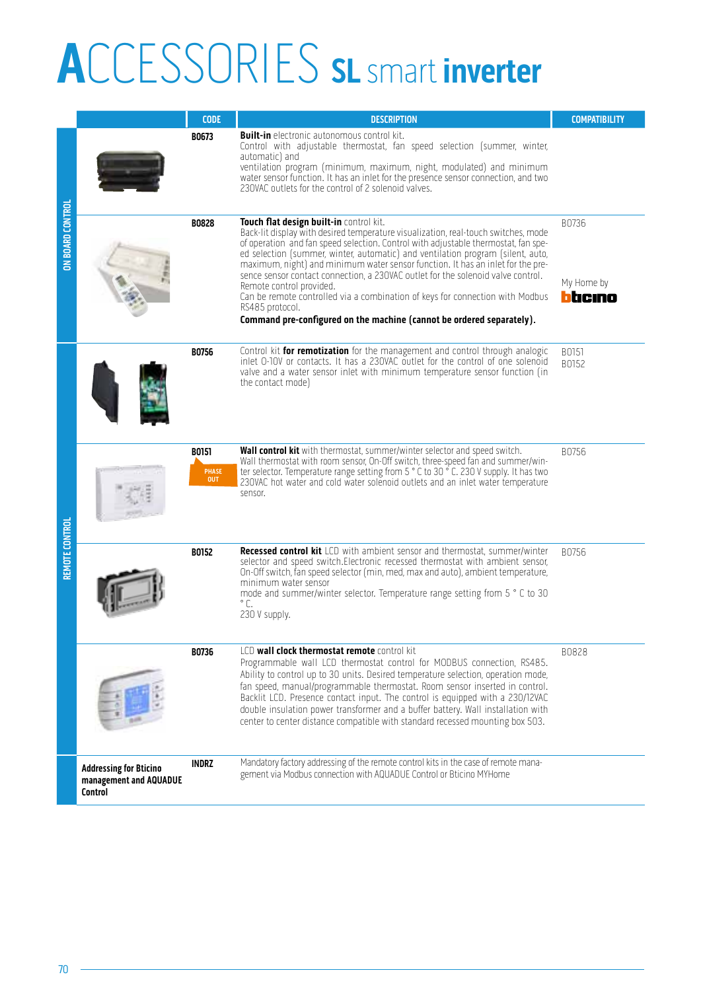## **A**CCESSORIES **SL** smart **inverter**

|                  |                                                                    | <b>CODE</b>                         | <b>DESCRIPTION</b>                                                                                                                                                                                                                                                                                                                                                                                                                                                                                                                                                                                                                                                                     | <b>COMPATIBILITY</b>           |
|------------------|--------------------------------------------------------------------|-------------------------------------|----------------------------------------------------------------------------------------------------------------------------------------------------------------------------------------------------------------------------------------------------------------------------------------------------------------------------------------------------------------------------------------------------------------------------------------------------------------------------------------------------------------------------------------------------------------------------------------------------------------------------------------------------------------------------------------|--------------------------------|
|                  |                                                                    | B0673                               | <b>Built-in</b> electronic autonomous control kit.<br>Control with adjustable thermostat, fan speed selection (summer, winter,<br>automatic) and<br>ventilation program (minimum, maximum, night, modulated) and minimum<br>water sensor function. It has an inlet for the presence sensor connection, and two<br>230VAC outlets for the control of 2 solenoid valves.                                                                                                                                                                                                                                                                                                                 |                                |
| ON BOARD CONTROL |                                                                    | <b>B0828</b>                        | Touch flat design built-in control kit.<br>Back-lit display with desired temperature visualization, real-touch switches, mode<br>of operation and fan speed selection. Control with adjustable thermostat, fan spe-<br>ed selection (summer, winter, automatic) and ventilation program (silent, auto,<br>maximum, night) and minimum water sensor function. It has an inlet for the pre-<br>sence sensor contact connection, a 230VAC outlet for the solenoid valve control.<br>Remote control provided.<br>Can be remote controlled via a combination of keys for connection with Modbus<br>RS485 protocol.<br>Command pre-configured on the machine (cannot be ordered separately). | B0736<br>My Home by<br>btıcıno |
|                  |                                                                    | <b>B0756</b>                        | Control kit for remotization for the management and control through analogic<br>inlet 0-10V or contacts. It has a 230VAC outlet for the control of one solenoid<br>valve and a water sensor inlet with minimum temperature sensor function (in<br>the contact mode)                                                                                                                                                                                                                                                                                                                                                                                                                    | B0151<br>B0152                 |
|                  |                                                                    | B0151<br><b>PHASE</b><br><b>OUT</b> | Wall control kit with thermostat, summer/winter selector and speed switch.<br>Wall thermostat with room sensor, On-Off switch, three-speed fan and summer/win-<br>ter selector. Temperature range setting from 5 ° C to 30 ° C. 230 V supply. It has two<br>230VAC hot water and cold water solenoid outlets and an inlet water temperature<br>sensor.                                                                                                                                                                                                                                                                                                                                 | B0756                          |
| REMOTE CONTROL   |                                                                    | <b>B0152</b>                        | <b>Recessed control kit</b> LCD with ambient sensor and thermostat, summer/winter<br>selector and speed switch. Electronic recessed thermostat with ambient sensor,<br>On-Off switch, fan speed selector (min, med, max and auto), ambient temperature,<br>minimum water sensor<br>mode and summer/winter selector. Temperature range setting from 5 ° C to 30<br>$^{\circ}$ C.<br>230 V supply.                                                                                                                                                                                                                                                                                       | B0756                          |
|                  |                                                                    | B0736                               | LCD wall clock thermostat remote control kit<br>Programmable wall LCD thermostat control for MODBUS connection, RS485.<br>Ability to control up to 30 units. Desired temperature selection, operation mode,<br>fan speed, manual/programmable thermostat. Room sensor inserted in control.<br>Backlit LCD. Presence contact input. The control is equipped with a 230/12VAC<br>double insulation power transformer and a buffer battery. Wall installation with<br>center to center distance compatible with standard recessed mounting box 503.                                                                                                                                       | B0828                          |
|                  | <b>Addressing for Bticino</b><br>management and AQUADUE<br>Control | <b>INDRZ</b>                        | Mandatory factory addressing of the remote control kits in the case of remote mana-<br>gement via Modbus connection with AQUADUE Control or Bticino MYHome                                                                                                                                                                                                                                                                                                                                                                                                                                                                                                                             |                                |